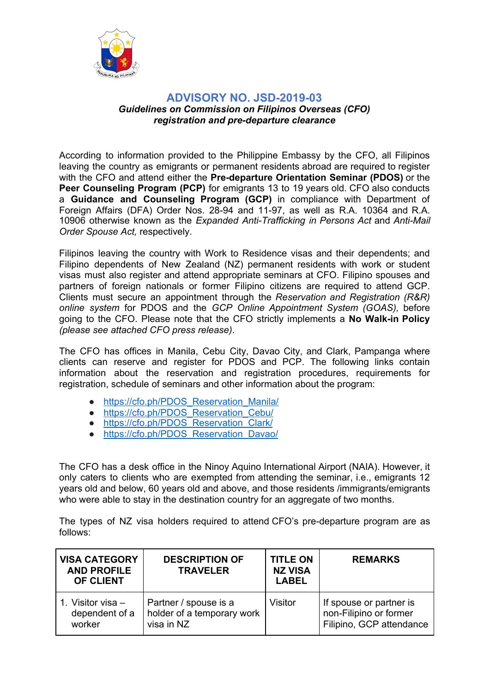

## **ADVISORY NO. JSD-2019-03** *Guidelines on Commission on Filipinos Overseas (CFO) registration and pre-departure clearance*

According to information provided to the Philippine Embassy by the CFO, all Filipinos leaving the country as emigrants or permanent residents abroad are required to register with the CFO and attend either the **Pre-departure Orientation Seminar (PDOS)** or the **Peer Counseling Program (PCP)** for emigrants 13 to 19 years old. CFO also conducts a **Guidance and Counseling Program (GCP)** in compliance with Department of Foreign Affairs (DFA) Order Nos. 28-94 and 11-97, as well as R.A. 10364 and R.A. 10906 otherwise known as the *Expanded Anti-Trafficking in Persons Act* and *Anti-Mail Order Spouse Act,* respectively.

Filipinos leaving the country with Work to Residence visas and their dependents; and Filipino dependents of New Zealand (NZ) permanent residents with work or student visas must also register and attend appropriate seminars at CFO. Filipino spouses and partners of foreign nationals or former Filipino citizens are required to attend GCP. Clients must secure an appointment through the *Reservation and Registration (R&R) online system* for PDOS and the *GCP Online Appointment System (GOAS),* before going to the CFO. Please note that the CFO strictly implements a **No Walk-in Policy** *(please see attached CFO press release)*.

The CFO has offices in Manila, Cebu City, Davao City, and Clark, Pampanga where clients can reserve and register for PDOS and PCP. The following links contain information about the reservation and registration procedures, requirements for registration, schedule of seminars and other information about the program:

- https://cfo.ph/PDOS\_Reservation\_Manila/
- https://cfo.ph/PDOS\_Reservation\_Cebu/
- https://cfo.ph/PDOS\_Reservation\_Clark/
- https://cfo.ph/PDOS\_Reservation\_Davao/

The CFO has a desk office in the Ninoy Aquino International Airport (NAIA). However, it only caters to clients who are exempted from attending the seminar, i.e., emigrants 12 years old and below, 60 years old and above, and those residents /immigrants/emigrants who were able to stay in the destination country for an aggregate of two months.

The types of NZ visa holders required to attend CFO's pre-departure program are as follows:

| <b>VISA CATEGORY</b><br><b>AND PROFILE</b><br><b>OF CLIENT</b> | <b>DESCRIPTION OF</b><br><b>TRAVELER</b> | <b>TITLE ON</b><br><b>NZ VISA</b><br><b>LABEL</b> | <b>REMARKS</b>           |
|----------------------------------------------------------------|------------------------------------------|---------------------------------------------------|--------------------------|
| 1. Visitor visa –                                              | Partner / spouse is a                    | Visitor                                           | If spouse or partner is  |
| dependent of a                                                 | holder of a temporary work               |                                                   | non-Filipino or former   |
| worker                                                         | visa in NZ                               |                                                   | Filipino, GCP attendance |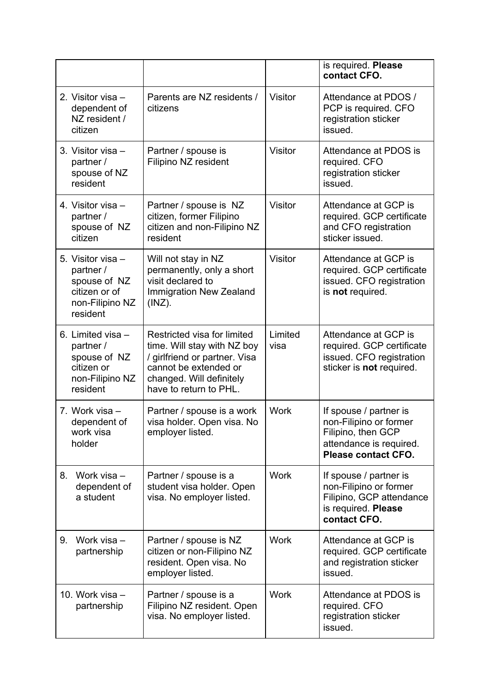|                                                                                                |                                                                                                                                                                            |                 | is required. Please<br>contact CFO.                                                                                      |
|------------------------------------------------------------------------------------------------|----------------------------------------------------------------------------------------------------------------------------------------------------------------------------|-----------------|--------------------------------------------------------------------------------------------------------------------------|
| 2. Visitor visa -<br>dependent of<br>NZ resident /<br>citizen                                  | Parents are NZ residents /<br>citizens                                                                                                                                     | <b>Visitor</b>  | Attendance at PDOS /<br>PCP is required. CFO<br>registration sticker<br>issued.                                          |
| 3. Visitor visa -<br>partner /<br>spouse of NZ<br>resident                                     | Partner / spouse is<br>Filipino NZ resident                                                                                                                                | <b>Visitor</b>  | Attendance at PDOS is<br>required. CFO<br>registration sticker<br>issued.                                                |
| 4. Visitor visa -<br>partner /<br>spouse of NZ<br>citizen                                      | Partner / spouse is NZ<br>citizen, former Filipino<br>citizen and non-Filipino NZ<br>resident                                                                              | Visitor         | Attendance at GCP is<br>required. GCP certificate<br>and CFO registration<br>sticker issued.                             |
| 5. Visitor visa -<br>partner /<br>spouse of NZ<br>citizen or of<br>non-Filipino NZ<br>resident | Will not stay in NZ<br>permanently, only a short<br>visit declared to<br>Immigration New Zealand<br>$(INZ)$ .                                                              | <b>Visitor</b>  | Attendance at GCP is<br>required. GCP certificate<br>issued. CFO registration<br>is not required.                        |
| 6. Limited visa -<br>partner /<br>spouse of NZ<br>citizen or<br>non-Filipino NZ<br>resident    | Restricted visa for limited<br>time. Will stay with NZ boy<br>/ girlfriend or partner. Visa<br>cannot be extended or<br>changed. Will definitely<br>have to return to PHL. | Limited<br>visa | Attendance at GCP is<br>required. GCP certificate<br>issued. CFO registration<br>sticker is not required.                |
| 7. Work visa -<br>dependent of<br>work visa<br>holder                                          | Partner / spouse is a work<br>visa holder. Open visa. No<br>employer listed.                                                                                               | <b>Work</b>     | If spouse / partner is<br>non-Filipino or former<br>Filipino, then GCP<br>attendance is required.<br>Please contact CFO. |
| Work visa -<br>8.<br>dependent of<br>a student                                                 | Partner / spouse is a<br>student visa holder. Open<br>visa. No employer listed.                                                                                            | <b>Work</b>     | If spouse / partner is<br>non-Filipino or former<br>Filipino, GCP attendance<br>is required. Please<br>contact CFO.      |
| 9.<br>Work visa -<br>partnership                                                               | Partner / spouse is NZ<br>citizen or non-Filipino NZ<br>resident. Open visa. No<br>employer listed.                                                                        | <b>Work</b>     | Attendance at GCP is<br>required. GCP certificate<br>and registration sticker<br>issued.                                 |
| 10. Work visa -<br>partnership                                                                 | Partner / spouse is a<br>Filipino NZ resident. Open<br>visa. No employer listed.                                                                                           | <b>Work</b>     | Attendance at PDOS is<br>required. CFO<br>registration sticker<br>issued.                                                |